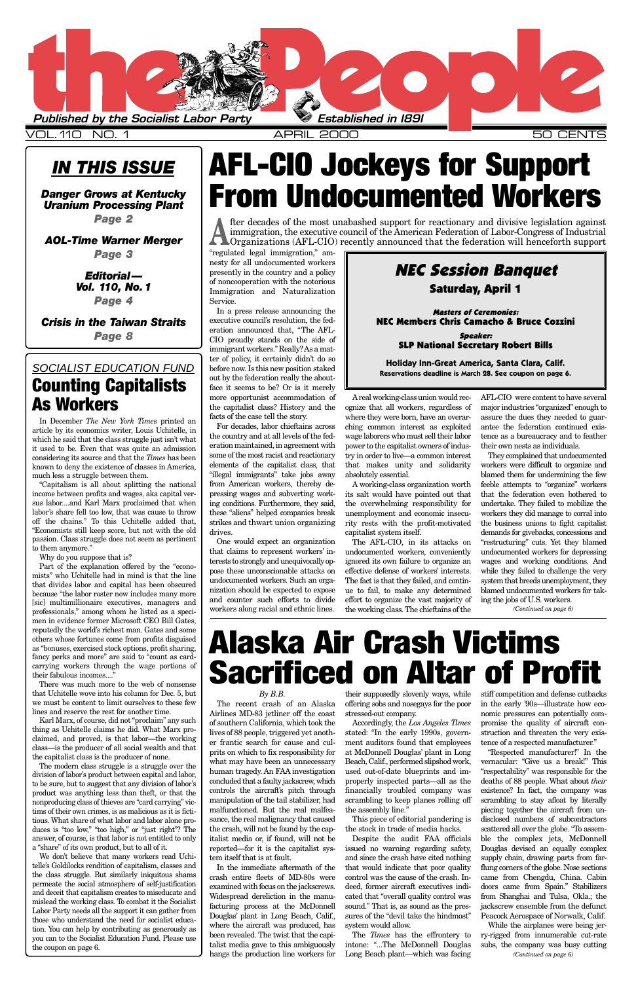## *IN THIS ISSUE*

*[Danger Grows at Kentucky](#page-1-0) Uranium Processing Plant Page 2*

*[AOL-Time Warner Merger](#page-2-0) Page 3*

> *Editorial— [Vol. 110, No.1](#page-3-0) Page 4*

*[Crisis in the Taiwan Straits](#page-7-0) Page 8*

> *By B.B.* Airlines MD-83 jetliner off the coast stressed-out company. of southern California, which took the lives of 88 people, triggered yet another frantic search for cause and culprits on which to fix responsibility for what may have been an unnecessary human tragedy. An FAA investigation concluded that a faulty jackscrew, which controls the aircraft's pitch through manipulation of the tail stabilizer, had malfunctioned. But the real malfeasance, the real malignancy that caused the crash, will not be found by the capitalist media or, if found, will not be reported—for it is the capitalist system itself that is at fault. In the immediate aftermath of the crash entire fleets of MD-80s were examined with focus on the jackscrews. Widespread dereliction in the manufacturing process at the McDonnell Douglas' plant in Long Beach, Calif., where the aircraft was produced, has been revealed. The twist that the capitalist media gave to this ambiguously hangs the production line workers for

The recent crash of an Alaska offering sobs and nosegays for the poor Accordingly, the *Los Angeles Times* stated: "In the early 1990s, government auditors found that employees at McDonnell Douglas' plant in Long Beach, Calif., performed slipshod work, used out-of-date blueprints and improperly inspected parts—all as the financially troubled company was scrambling to keep planes rolling off the assembly line." This piece of editorial pandering is the stock in trade of media hacks. Despite the audit FAA officials issued no warning regarding safety, and since the crash have cited nothing that would indicate that poor quality control was the cause of the crash. Indeed, former aircraft executives indicated that "overall quality control was sound." That is, as sound as the pressures of the "devil take the hindmost" system would allow.

> The *Times* has the effrontery to intone: "...The McDonnell Douglas Long Beach plant—which was facing

<span id="page-0-0"></span>

VOL.110 NO. 1 APRIL 2000 50 CENTS

"regulated legal immigration," amnesty for all undocumented workers presently in the country and a policy of noncooperation with the notorious Immigration and Naturalization Service.

Part of the explanation offered by the "economists" who Uchitelle had in mind is that the line that divides labor and capital has been obscured because "the labor roster now includes many more [sic] multimillionaire executives, managers and professionals," among whom he listed as a specimen in evidence former Microsoft CEO Bill Gates, reputedly the world's richest man. Gates and some others whose fortunes come from profits disguised as "bonuses, exercised stock options, profit sharing, fancy perks and more" are said to "count as cardcarrying workers through the wage portions of their fabulous incomes...."

In a press release announcing the executive council's resolution, the federation announced that, "The AFL-CIO proudly stands on the side of immigrant workers." Really? As a matter of policy, it certainly didn't do so before now. Is this new position staked out by the federation really the aboutface it seems to be? Or is it merely more opportunist accommodation of the capitalist class? History and the facts of the case tell the story.

For decades, labor chieftains across the country and at all levels of the federation maintained, in agreement with some of the most racist and reactionary elements of the capitalist class, that "illegal immigrants" take jobs away from American workers, thereby depressing wages and subverting working conditions. Furthermore, they said, these "aliens" helped companies break strikes and thwart union organizing drives.

One would expect an organization that claims to represent workers' interests to strongly and unequivocally oppose these unconscionable attacks on undocumented workers. Such an organization should be expected to expose and counter such efforts to divide workers along racial and ethnic lines.

The most unabashed support for reactionary and divisive legislation against immigration, the executive council of the American Federation of Labor-Congress of Industrial Organizations (AFL-CIO) recently announced that the immigration, the executive council of the American Federation of Labor-Congress of Industrial

> Areal working-class union would recognize that all workers, regardless of where they were born, have an overarching common interest as exploited wage laborers who must sell their labor power to the capitalist owners of industry in order to live—a common interest that makes unity and solidarity absolutely essential.

**Holiday Inn-Great America, Santa Clara, Calif. Reservations deadline is March 28. See coupon on page 6. SOCIALIST EDUCATION FUND** before now. Is this new position staked **Reservations deadline is March 28. See coupon on page 6.** 

> A working-class organization worth its salt would have pointed out that the overwhelming responsibility for unemployment and economic insecurity rests with the profit-motivated capitalist system itself.

their supposedly slovenly ways, while stiff competition and defense cutbacks in the early '90s—illustrate how economic pressures can potentially compromise the quality of aircraft construction and threaten the very existence of a respected manufacturer." "Respected manufacturer!" In the vernacular: "Give us a break!" This "respectability" was responsible for the deaths of 88 people. What about *their* existence? In fact, the company was scrambling to stay afloat by literally piecing together the aircraft from undisclosed numbers of subcontractors scattered all over the globe. "To assemble the complex jets, McDonnell Douglas devised an equally complex supply chain, drawing parts from farflung corners of the globe. Nose sections came from Chengdu, China. Cabin doors came from Spain." Stabilizers from Shanghai and Tulsa, Okla.; the jackscrew ensemble from the defunct Peacock Aerospace of Norwalk, Calif. While the airplanes were being jerry-rigged from innumerable cut-rate subs, the company was busy cutting *(Continued on page 6)*

The AFL-CIO, in its attacks on undocumented workers, conveniently ignored its own failure to organize an effective defense of workers' interests. The fact is that they failed, and continue to fail, to make any determined effort to organize the vast majority of the working class. The chieftains of the

AFL-CIO were content to have several major industries "organized" enough to assure the dues they needed to guarantee the federation continued existence as a bureaucracy and to feather their own nests as individuals.

They complained that undocumented workers were difficult to organize and blamed them for undermining the few feeble attempts to "organize" workers that the federation even bothered to undertake. They failed to mobilize the workers they did manage to corral into the business unions to fight capitalist demands for givebacks, concessions and "restructuring" cuts. Yet they blamed undocumented workers for depressing wages and working conditions. And while they failed to challenge the very system that breeds unemployment, they blamed undocumented workers for taking the jobs of U.S. workers.

In December *The New York Time*s printed an article by its economics writer, Louis Uchitelle, in which he said that the class struggle just isn't what it used to be. Even that was quite an admission considering its source and that the *Times* has been known to deny the existence of classes in America, much less a struggle between them.

"Capitalism is all about splitting the national income between profits and wages, aka capital versus labor....and Karl Marx proclaimed that when labor's share fell too low, that was cause to throw off the chains." To this Uchitelle added that, "Economists still keep score, but not with the old passion. Class struggle does not seem as pertinent to them anymore."

Why do you suppose that is?

There was much more to the web of nonsense that Uchitelle wove into his column for Dec. 5, but we must be content to limit ourselves to these few lines and reserve the rest for another time.

Karl Marx, of course, did not "proclaim" any

thing as Uchitelle claims he did. What Marx proclaimed, and proved, is that labor—the working class—is the producer of all social wealth and that the capitalist class is the producer of none.

The modern class struggle is a struggle over the division of labor's product between capital and labor, to be sure, but to suggest that any division of labor's product was anything less than theft, or that the nonproducing class of thieves are "card carrying" victims of their own crimes, is as malicious as it is fictitious. What share of what labor and labor alone produces is "too low," "too high," or "just right"? The answer, of course, is that labor is not entitled to only a "share" of its own product, but to all of it.

We don't believe that many workers read Uchitelle's Goldilocks rendition of capitalism, classes and the class struggle. But similarly iniquitous shams permeate the social atmosphere of self-justification and deceit that capitalism creates to miseducate and mislead the working class. To combat it the Socialist Labor Party needs all the support it can gather from those who understand the need for socialist education. You can help by contributing as generously as you can to the Socialist Education Fund. Please use the coupon on page 6.

# **AFL-CIO Jockeys for Support From Undocumented Workers**

# **Alaska Air Crash Victims Sacrificed on Altar of Profit**

*(Continued on page 6)*

## NEC Session Banquet Saturday, April 1

Masters of Ceremonies: NEC Members Chris Camacho & Bruce Cozzini

> Speaker: SLP National Secretary Robert Bills

## **Counting Capitalists As Workers**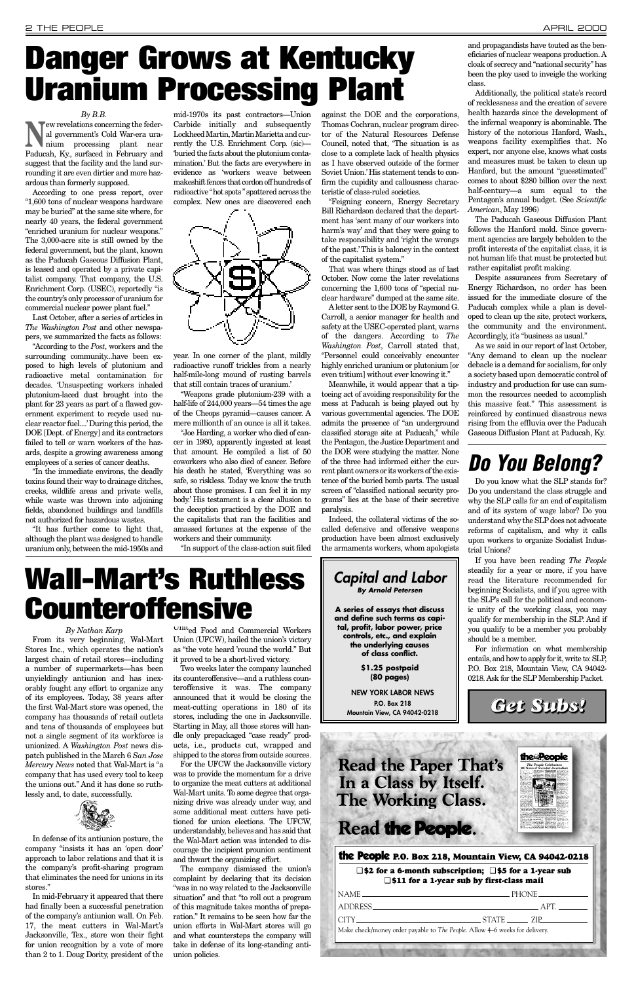*By Nathan Karp* From its very beginning, Wal-Mart Stores Inc., which operates the nation's largest chain of retail stores—including a number of supermarkets—has been unyieldingly antiunion and has inexorably fought any effort to organize any of its employees. Today, 38 years after the first Wal-Mart store was opened, the company has thousands of retail outlets

and tens of thousands of employees but not a single segment of its workforce is unionized. A *Washington Post* news dispatch published in the March 6 *San Jose Mercury News* noted that Wal-Mart is "a company that has used every tool to keep the unions out." And it has done so ruthlessly and, to date, successfully.



In defense of its antiunion posture, the company "insists it has an 'open door' approach to labor relations and that it is the company's profit-sharing program that eliminates the need for unions in its stores."

In mid-February it appeared that there had finally been a successful penetration of the company's antiunion wall. On Feb. 17, the meat cutters in Wal-Mart's Jacksonville, Tex., store won their fight for union recognition by a vote of more than 2 to 1. Doug Dority, president of the

United Food and Commercial Workers Union (UFCW), hailed the union's victory

it proved to be a short-lived victory.

**New revelations concerning the feder-**<br>
nium processing plant near<br>  $\sum_{n=1}^{\infty}$ al government's Cold War-era ura-Paducah, Ky., surfaced in February and suggest that the facility and the land surrounding it are even dirtier and more hazardous than formerly supposed.

> Two weeks later the company launched its counteroffensive—and a ruthless counteroffensive it was. The company announced that it would be closing the meat-cutting operations in 180 of its stores, including the one in Jacksonville.

> Starting in May, all those stores will handle only prepackaged "case ready" products, i.e., products cut, wrapped and shipped to the stores from outside sources. For the UFCW the Jacksonville victory was to provide the momentum for a drive to organize the meat cutters at additional Wal-Mart units. To some degree that organizing drive was already under way, and some additional meat cutters have petitioned for union elections. The UFCW, understandably, believes and has said that the Wal-Mart action was intended to discourage the incipient prounion sentiment and thwart the organizing effort.

> The company dismissed the union's complaint by declaring that its decision "was in no way related to the Jacksonville situation" and that "to roll out a program of this magnitude takes months of preparation." It remains to be seen how far the union efforts in Wal-Mart stores will go and what countersteps the company will take in defense of its long-standing antiunion policies.

## **Read the Paper That's** In a Class by Itself. **The Working Class.**

**Read the People.** 

### *By B.B.*

According to one press report, over "1,600 tons of nuclear weapons hardware may be buried" at the same site where, for nearly 40 years, the federal government "enriched uranium for nuclear weapons." The 3,000-acre site is still owned by the federal government, but the plant, known as the Paducah Gaseous Diffusion Plant, is leased and operated by a private capitalist company. That company, the U.S. Enrichment Corp. (USEC), reportedly "is the country's only processor of uranium for commercial nuclear power plant fuel."

Last October, after a series of articles in *The Washington Post* and other newspapers, we summarized the facts as follows:

"According to the *Post*, workers and the surrounding community...have been exposed to high levels of plutonium and radioactive metal contamination for decades. 'Unsuspecting workers inhaled plutonium-laced dust brought into the plant for 23 years as part of a flawed government experiment to recycle used nuclear reactor fuel....'During this period, the DOE [Dept. of Energy] and its contractors failed to tell or warn workers of the hazards, despite a growing awareness among employees of a series of cancer deaths.

"In the immediate environs, the deadly toxins found their way to drainage ditches, creeks, wildlife areas and private wells, while waste was thrown into adjoining fields, abandoned buildings and landfills not authorized for hazardous wastes.

"It has further come to light that, although the plant was designed to handle uranium only, between the mid-1950s and

mid-1970s its past contractors—Union Carbide initially and subsequently Lockheed Martin, Martin Marietta and currently the U.S. Enrichment Corp. (sic)— 'buried the facts about the plutonium contamination.' But the facts are everywhere in evidence as 'workers weave between makeshift fences that cordon off hundreds of radioactive "hot spots" spattered across the complex. New ones are discovered each



year. In one corner of the plant, mildly radioactive runoff trickles from a nearly half-mile-long mound of rusting barrels that still contain traces of uranium.'

"Weapons grade plutonium-239 with a half-life of 244,000 years—54 times the age of the Cheops pyramid—causes cancer. A mere millionth of an ounce is all it takes.

"Joe Harding, a worker who died of cancer in 1980, apparently ingested at least that amount. He compiled a list of 50 coworkers who also died of cancer. Before his death he stated, 'Everything was so safe, so riskless. Today we know the truth about those promises. I can feel it in my body.' His testament is a clear allusion to the deception practiced by the DOE and the capitalists that ran the facilities and amassed fortunes at the expense of the workers and their community.

"In support of the class-action suit filed

against the DOE and the corporations, Thomas Cochran, nuclear program director of the Natural Resources Defense Council, noted that, 'The situation is as close to a complete lack of health physics as I have observed outside of the former Soviet Union.' His statement tends to confirm the cupidity and callousness characteristic of class-ruled societies.



"Feigning concern, Energy Secretary Bill Richardson declared that the department has 'sent many of our workers into harm's way' and that they were going to take responsibility and 'right the wrongs of the past.' This is baloney in the context of the capitalist system."

That was where things stood as of last October. Now come the later revelations concerning the 1,600 tons of "special nuclear hardware" dumped at the same site.

Aletter sent to the DOE by Raymond G. Carroll, a senior manager for health and safety at the USEC-operated plant, warns of the dangers. According to *The Washington Post*, Carroll stated that, "Personnel could conceivably encounter highly enriched uranium or plutonium [or even tritium] without ever knowing it."

Meanwhile, it would appear that a tiptoeing act of avoiding responsibility for the mess at Paducah is being played out by various governmental agencies. The DOE admits the presence of "an underground classified storage site at Paducah," while the Pentagon, the Justice Department and the DOE were studying the matter. None of the three had informed either the current plant owners or its workers of the existence of the buried bomb parts. The usual screen of "classified national security programs" lies at the base of their secretive paralysis.

Indeed, the collateral victims of the socalled defensive and offensive weapons production have been almost exclusively the armaments workers, whom apologists

# <span id="page-1-0"></span>**Danger Grows at Kentucky Uranium Processing Plant**

**Wall-Mart's Ruthless**

**Counteroffensive**

and propagandists have touted as the beneficiaries of nuclear weapons production. A cloak of secrecy and "national security" has been the ploy used to inveigle the working class.

Additionally, the political state's record of recklessness and the creation of severe health hazards since the development of the infernal weaponry is abominable. The history of the notorious Hanford, Wash., weapons facility exemplifies that. No expert, nor anyone else, knows what costs and measures must be taken to clean up Hanford, but the amount "guesstimated" comes to about \$280 billion over the next half-century—a sum equal to the Pentagon's annual budget. (See *Scientific American*, May 1996)

The Paducah Gaseous Diffusion Plant follows the Hanford mold. Since government agencies are largely beholden to the profit interests of the capitalist class, it is not human life that must be protected but rather capitalist profit making.

Despite assurances from Secretary of Energy Richardson, no order has been issued for the immediate closure of the Paducah complex while a plan is developed to clean up the site, protect workers, the community and the environment. Accordingly, it's "business as usual."

As we said in our report of last October, "Any demand to clean up the nuclear debacle is a demand for socialism, for only a society based upon democratic control of industry and production for use can summon the resources needed to accomplish this massive feat." This assessment is reinforced by continued disastrous news rising from the effluvia over the Paducah Gaseous Diffusion Plant at Paducah, Ky.

## *Do You Belong?*

Do you know what the SLP stands for? Do you understand the class struggle and why the SLP calls for an end of capitalism and of its system of wage labor? Do you understand why the SLP does not advocate reforms of capitalism, and why it calls upon workers to organize Socialist Industrial Unions?

If you have been reading *The People* steadily for a year or more, if you have read the literature recommended for beginning Socialists, and if you agree with the SLP's call for the political and economic unity of the working class, you may qualify for membership in the SLP. And if you qualify to be a member you probably should be a member.

For information on what membership entails, and how to apply for it, write to: SLP, P.O. Box 218, Mountain View, CA 94042- 0218. Ask for the SLP Membership Packet.

## the People **P.O. Box 218, Mountain View, CA 94042-0218**

## ❑ **\$2 for a 6-month subscription;** ❑ **\$5 for a 1-year sub** ❑ **\$11 for a 1-year sub by first-class mail**

|                                                                             | $NAME$ $PHONE$ $PHONE$ $PHONE$ $HODE$ |  |  |
|-----------------------------------------------------------------------------|---------------------------------------|--|--|
|                                                                             |                                       |  |  |
| Make check/money order payable to The People. Allow 4–6 weeks for delivery. |                                       |  |  |
|                                                                             |                                       |  |  |
|                                                                             |                                       |  |  |

*Get Subs!*

the People

**NEW YORK LABOR NEWS P.O. Box 218 Mountain View, CA 94042-0218**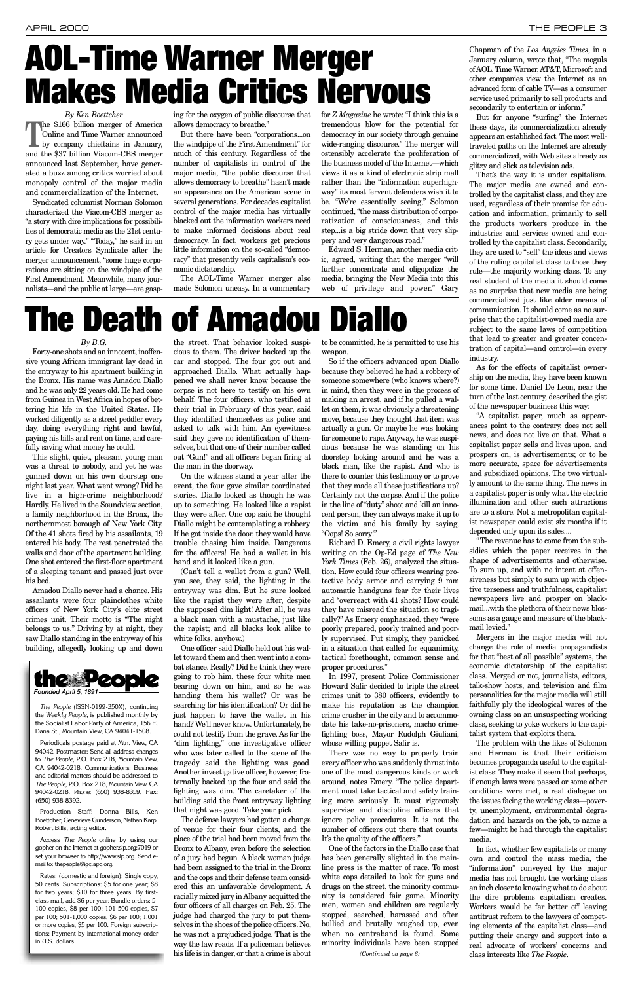*By Ken Boettcher*

The \$166 billion merger of America Online and Time Warner announced by company chieftains in January, and the \$37 billion Viacom-CBS merger announced last September, have generated a buzz among critics worried about monopoly control of the major media and commercialization of the Internet.

Syndicated columnist Norman Solomon characterized the Viacom-CBS merger as "a story with dire implications for possibilities of democratic media as the 21st century gets under way." "Today," he said in an article for Creators Syndicate after the merger announcement, "some huge corporations are sitting on the windpipe of the First Amendment. Meanwhile, many journalists—and the public at large—are gasp-

ing for the oxygen of public discourse that allows democracy to breathe."

But there have been "corporations...on the windpipe of the First Amendment" for much of this century. Regardless of the number of capitalists in control of the major media, "the public discourse that allows democracy to breathe" hasn't made an appearance on the American scene in several generations. For decades capitalist control of the major media has virtually blacked out the information workers need to make informed decisions about real democracy. In fact, workers get precious little information on the so-called "democracy" that presently veils capitalism's economic dictatorship.

The AOL-Time Warner merger also made Solomon uneasy. In a commentary

for *Z Magazine* he wrote: "I think this is a tremendous blow for the potential for democracy in our society through genuine wide-ranging discourse." The merger will ostensibly accelerate the proliferation of the business model of the Internet—which views it as a kind of electronic strip mall rather than the "information superhighway" its most fervent defenders wish it to be. "We're essentially seeing," Solomon continued, "the mass distribution of corporatization of consciousness, and this step...is a big stride down that very slippery and very dangerous road."

Edward S. Herman, another media critic, agreed, writing that the merger "will further concentrate and oligopolize the media, bringing the New Media into this web of privilege and power." Gary secondarily to entertain or inform." But for anyone "surfing" the Internet these days, its commercialization already appears an established fact. The most welltraveled paths on the Internet are already commercialized, with Web sites already as glitzy and slick as television ads.

That's the way it is under capitalism. The major media are owned and controlled by the capitalist class, and they are used, regardless of their promise for education and information, primarily to sell the products workers produce in the industries and services owned and controlled by the capitalist class. Secondarily, they are used to "sell" the ideas and views of the ruling capitalist class to those they rule—the majority working class. To any real student of the media it should come as no surprise that new media are being commercialized just like older means of communication. It should come as no surprise that the capitalist-owned media are subject to the same laws of competition that lead to greater and greater concentration of capital—and control—in every industry.

As for the effects of capitalist ownership on the media, they have been known for some time. Daniel De Leon, near the turn of the last century, described the gist of the newspaper business this way:

"A capitalist paper, much as appearances point to the contrary, does not sell news, and does not live on that. What a capitalist paper sells and lives upon, and prospers on, is advertisements; or to be more accurate, space for advertisements and subsidized opinions. The two virtually amount to the same thing. The news in a capitalist paper is only what the electric illumination and other such attractions are to a store. Not a metropolitan capitalist newspaper could exist six months if it depended only upon its sales....

"The revenue has to come from the subsidies which the paper receives in the shape of advertisements and otherwise. To sum up, and with no intent at offensiveness but simply to sum up with objective terseness and truthfulness, capitalist newspapers live and prosper on blackmail...with the plethora of their news blossoms as a gauge and measure of the blackmail levied."

Mergers in the major media will not change the role of media propagandists for that "best of all possible" systems, the economic dictatorship of the capitalist class. Merged or not, journalists, editors, talk-show hosts, and television and film personalities for the major media will still faithfully ply the ideological wares of the owning class on an unsuspecting working class, seeking to yoke workers to the capitalist system that exploits them. The problem with the likes of Solomon and Herman is that their criticism becomes propaganda useful to the capitalist class: They make it seem that perhaps, if enough laws were passed or some other conditions were met, a real dialogue on the issues facing the working class—poverty, unemployment, environmental degradation and hazards on the job, to name a few—might be had through the capitalist media. In fact, whether few capitalists or many own and control the mass media, the "information" conveyed by the major media has not brought the working class an inch closer to knowing what to do about the dire problems capitalism creates. Workers would be far better off leaving antitrust reform to the lawyers of competing elements of the capitalist class—and putting their energy and support into a real advocate of workers' concerns and class interests like *The People*.

## *By B.G.*

Forty-one shots and an innocent, inoffensive young African immigrant lay dead in the entryway to his apartment building in the Bronx. His name was Amadou Diallo and he was only 22 years old. He had come from Guinea in West Africa in hopes of bettering his life in the United States. He worked diligently as a street peddler every day, doing everything right and lawful, paying his bills and rent on time, and carefully saving what money he could.

This slight, quiet, pleasant young man was a threat to nobody, and yet he was gunned down on his own doorstep one night last year. What went wrong? Did he live in a high-crime neighborhood? Hardly. He lived in the Soundview section, a family neighborhood in the Bronx, the northernmost borough of New York City. Of the 41 shots fired by his assailants, 19 entered his body. The rest penetrated the walls and door of the apartment building. One shot entered the first-floor apartment of a sleeping tenant and passed just over his bed.

Amadou Diallo never had a chance. His assailants were four plainclothes white officers of New York City's elite street crimes unit. Their motto is "The night belongs to us." Driving by at night, they saw Diallo standing in the entryway of his building, allegedly looking up and down

the street. That behavior looked suspicious to them. The driver backed up the car and stopped. The four got out and approached Diallo. What actually happened we shall never know because the corpse is not here to testify on his own behalf. The four officers, who testified at their trial in February of this year, said they identified themselves as police and asked to talk with him. An eyewitness said they gave no identification of themselves, but that one of their number called out "Gun!" and all officers began firing at the man in the doorway.

On the witness stand a year after the event, the four gave similar coordinated stories. Diallo looked as though he was up to something. He looked like a rapist they were after. One cop said he thought Diallo might be contemplating a robbery. If he got inside the door, they would have trouble chasing him inside. Dangerous for the officers! He had a wallet in his hand and it looked like a gun.

(Can't tell a wallet from a gun? Well, you see, they said, the lighting in the entryway was dim. But he sure looked like the rapist they were after, despite the supposed dim light! After all, he was a black man with a mustache, just like the rapist; and all blacks look alike to white folks, anyhow.)

One officer said Diallo held out his wallet toward them and then went into a combat stance. Really? Did he think they were going to rob him, these four white men bearing down on him, and so he was handing them his wallet? Or was he searching for his identification? Or did he just happen to have the wallet in his hand? We'll never know. Unfortunately, he could not testify from the grave. As for the "dim lighting," one investigative officer who was later called to the scene of the tragedy said the lighting was good. Another investigative officer, however, fraternally backed up the four and said the lighting was dim. The caretaker of the building said the front entryway lighting that night was good. Take your pick. The defense lawyers had gotten a change of venue for their four clients, and the place of the trial had been moved from the Bronx to Albany, even before the selection of a jury had begun. A black woman judge had been assigned to the trial in the Bronx and the cops and their defense team considered this an unfavorable development. A racially mixed jury in Albany acquitted the four officers of all charges on Feb. 25. The judge had charged the jury to put themselves in the shoes of the police officers. No, he was not a prejudiced judge. That is the way the law reads. If a policeman believes his life is in danger, or that a crime is about

to be committed, he is permitted to use his weapon.

So if the officers advanced upon Diallo because they believed he had a robbery of someone somewhere (who knows where?) in mind, then they were in the process of making an arrest, and if he pulled a wallet on them, it was obviously a threatening move, because they thought that item was actually a gun. Or maybe he was looking for someone to rape. Anyway, he was suspicious because he was standing on his doorstep looking around and he was a black man, like the rapist. And who is there to counter this testimony or to prove that they made all these justifications up? Certainly not the corpse. And if the police in the line of "duty" shoot and kill an innocent person, they can always make it up to the victim and his family by saying, "Oops! So sorry!"

Richard D. Emery, a civil rights lawyer writing on the Op-Ed page of *The New York Times* (Feb. 26), analyzed the situation. How could four officers wearing protective body armor and carrying 9 mm automatic handguns fear for their lives and "overreact with 41 shots? How could they have misread the situation so tragically?" As Emery emphasized, they "were poorly prepared, poorly trained and poorly supervised. Put simply, they panicked in a situation that called for equanimity, tactical forethought, common sense and proper procedures."

In 1997, present Police Commissioner Howard Safir decided to triple the street crimes unit to 380 officers, evidently to make his reputation as the champion crime crusher in the city and to accommodate his take-no-prisoners, macho crimefighting boss, Mayor Rudolph Giuliani, whose willing puppet Safir is. There was no way to properly train every officer who was suddenly thrust into one of the most dangerous kinds or work around, notes Emery. "The police department must take tactical and safety training more seriously. It must rigorously supervise and discipline officers that ignore police procedures. It is not the number of officers out there that counts. It's the quality of the officers." One of the factors in the Diallo case that has been generally slighted in the mainline press is the matter of race. To most white cops detailed to look for guns and drugs on the street, the minority community is considered fair game. Minority men, women and children are regularly stopped, searched, harassed and often bullied and brutally roughed up, even when no contraband is found. Some minority individuals have been stopped

# **The Death of Amadou Diallo**



*The People* (ISSN-0199-350X), continuing the *Weekly People*, is published monthly by the Socialist Labor Party of America, 156 E. Dana St., Mountain View, CA 94041-1508.

Periodicals postage paid at Mtn. View, CA 94042. Postmaster: Send all address changes to *The People*, P.O. Box 218, Mountain View, CA 94042-0218. Communications: Business and editorial matters should be addressed to *The People*, P.O. Box 218, Mountain View, CA 94042-0218. Phone: (650) 938-8359. Fax: (650) 938-8392.

Production Staff: Donna Bills, Ken Boettcher, Genevieve Gunderson, Nathan Karp. Robert Bills, acting editor.

Access *The People* online by using our gopher on the Internet at gopher.slp.org:7019 or set your browser to http://www.slp.org. Send email to: thepeople@igc.apc.org.

Rates: (domestic and foreign): Single copy, 50 cents. Subscriptions: \$5 for one year; \$8 for two years; \$10 for three years. By firstclass mail, add \$6 per year. Bundle orders: 5- 100 copies, \$8 per 100; 101-500 copies, \$7 per 100; 501-1,000 copies, \$6 per 100; 1,001 or more copies, \$5 per 100. Foreign subscriptions: Payment by international money order in U.S. dollars.

# <span id="page-2-0"></span>**AOL-Time Warner Merger Makes Media Critics Nervous**

*(Continued on page 6)*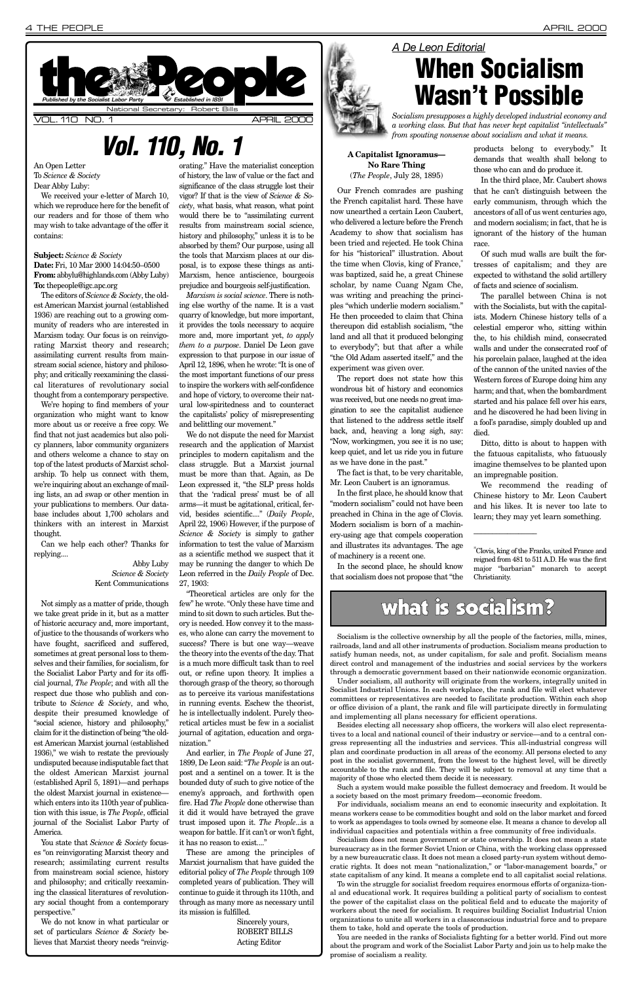An Open Letter To *Science & Society* Dear Abby Luby:

We received your e-letter of March 10, which we reproduce here for the benefit of our readers and for those of them who may wish to take advantage of the offer it contains:

## **Subject:** *Science & Society*

**Date:** Fri, 10 Mar 2000 14:04:50–0500 **From:** abbylu@highlands.com (Abby Luby) **To:** thepeople@igc.apc.org

The editors of *Science & Society*, the oldest American Marxist journal (established 1936) are reaching out to a growing community of readers who are interested in Marxism today. Our focus is on reinvigorating Marxist theory and research; assimilating current results from mainstream social science, history and philosophy; and critically reexamining the classical literatures of revolutionary social thought from a contemporary perspective.

We're hoping to find members of your organization who might want to know more about us or receive a free copy. We find that not just academics but also policy planners, labor community organizers and others welcome a chance to stay on top of the latest products of Marxist scholarship. To help us connect with them, we're inquiring about an exchange of mailing lists, an ad swap or other mention in your publications to members. Our database includes about 1,700 scholars and thinkers with an interest in Marxist thought.

Can we help each other? Thanks for replying....

## Abby Luby *Science & Society* Kent Communications

Not simply as a matter of pride, though we take great pride in it, but as a matter of historic accuracy and, more important, of justice to the thousands of workers who have fought, sacrificed and suffered, sometimes at great personal loss to themselves and their families, for socialism, for the Socialist Labor Party and for its official journal, *The People*; and with all the respect due those who publish and contribute to *Science & Society*, and who, despite their presumed knowledge of social science, history and philosophy, claim for it the distinction of being "the oldest American Marxist journal (established 1936)," we wish to restate the previously undisputed because indisputable fact that the oldest American Marxist journal (established April 5, 1891)—and perhaps the oldest Marxist journal in existence which enters into its 110th year of publication with this issue, is *The People*, official journal of the Socialist Labor Party of America. You state that *Science & Society* focuses "on reinvigorating Marxist theory and research; assimilating current results from mainstream social science, history and philosophy; and critically reexamining the classical literatures of revolutionary social thought from a contemporary perspective."

We do not know in what particular or set of particulars *Science & Society* believes that Marxist theory needs "reinvig-

orating." Have the materialist conception of history, the law of value or the fact and significance of the class struggle lost their vigor? If that is the view of *Science & Society*, what basis, what reason, what point would there be to "assimilating current results from mainstream social science, history and philosophy," unless it is to be absorbed by them? Our purpose, using all the tools that Marxism places at our disposal, is to expose these things as anti-Marxism, hence antiscience, bourgeois prejudice and bourgeois self-justification.

*Marxism is social science*. There is nothing else worthy of the name. It is a vast quarry of knowledge, but more important, it provides the tools necessary to acquire more and, more important yet, *to apply them to a purpose*. Daniel De Leon gave expression to that purpose in our issue of April 12, 1896, when he wrote: "It is one of the most important functions of our press to inspire the workers with self-confidence and hope of victory, to overcome their natural low-spiritedness and to counteract the capitalists' policy of misrepresenting and belittling our movement."

We do not dispute the need for Marxist research and the application of Marxist principles to modern capitalism and the class struggle. But a Marxist journal must be more than that. Again, as De Leon expressed it, "the SLP press holds that the 'radical press' must be of all arms—it must be agitational, critical, fervid, besides scientific...." (*Daily People*, April 22, 1906) However, if the purpose of *Science & Society* is simply to gather information to test the value of Marxism as a scientific method we suspect that it may be running the danger to which De Leon referred in the *Daily People* of Dec. 27, 1903:

<span id="page-3-0"></span>

"Theoretical articles are only for the few" he wrote. "Only these have time and mind to sit down to such articles. But theory is needed. How convey it to the masses, who alone can carry the movement to success? There is but one way—weave the theory into the events of the day. That is a much more difficult task than to reel out, or refine upon theory. It implies a thorough grasp of the theory, so thorough as to perceive its various manifestations in running events. Eschew the theorist, he is intellectually indolent. Purely theo-

retical articles must be few in a socialist journal of agitation, education and organization."

And earlier, in *The People* of June 27, 1899, De Leon said: "*The People* is an outpost and a sentinel on a tower. It is the bounded duty of such to give notice of the enemy's approach, and forthwith open fire. Had *The People* done otherwise than it did it would have betrayed the grave trust imposed upon it. *The People*...is a weapon for battle. If it can't or won't fight, it has no reason to exist...."

These are among the principles of Marxist journalism that have guided the editorial policy of *The People* through 109 completed years of publication. They will continue to guide it through its 110th, and through as many more as necessary until its mission is fulfilled.

> Sincerely yours, ROBERT BILLS Acting Editor

## **A Capitalist Ignoramus— No Rare Thing** (*The People*, July 28, 1895)

Our French comrades are pushing the French capitalist hard. These have now unearthed a certain Leon Caubert, who delivered a lecture before the French Academy to show that socialism has been tried and rejected. He took China for his "historical" illustration. About the time when Clovis, king of France,\* was baptized, said he, a great Chinese scholar, by name Cuang Ngam Che, was writing and preaching the principles "which underlie modern socialism." He then proceeded to claim that China thereupon did establish socialism, "the land and all that it produced belonging to everybody"; but that after a while "the Old Adam asserted itself," and the experiment was given over.

The report does not state how this wondrous bit of history and economics was received, but one needs no great imagination to see the capitalist audience that listened to the address settle itself back, and, heaving a long sigh, say: "Now, workingmen, you see it is no use; keep quiet, and let us ride you in future as we have done in the past."

The fact is that, to be very charitable, Mr. Leon Caubert is an ignoramus.

In the first place, he should know that "modern socialism" could not have been preached in China in the age of Clovis. Modern socialism is born of a machinery-using age that compels cooperation and illustrates its advantages. The age of machinery is a recent one.

In the second place, he should know that socialism does not propose that "the products belong to everybody." It demands that wealth shall belong to those who can and do produce it.

In the third place, Mr. Caubert shows that he can't distinguish between the early communism, through which the ancestors of all of us went centuries ago, and modern socialism; in fact, that he is ignorant of the history of the human race.

Of such mud walls are built the fortresses of capitalism; and they are expected to withstand the solid artillery of facts and science of socialism.

The parallel between China is not with the Socialists, but with the capitalists. Modern Chinese history tells of a celestial emperor who, sitting within the, to his childish mind, consecrated walls and under the consecrated roof of his porcelain palace, laughed at the idea of the cannon of the united navies of the Western forces of Europe doing him any harm; and that, when the bombardment started and his palace fell over his ears, and he discovered he had been living in a fool's paradise, simply doubled up and died.

Ditto, ditto is about to happen with the fatuous capitalists, who fatuously imagine themselves to be planted upon an impregnable position.

We recommend the reading of Chinese history to Mr. Leon Caubert and his likes. It is never too late to learn; they may yet learn something.

 $\overline{\phantom{a}}$ 

## *Vol. 110, No. 1*

# *A De Leon Editorial*





# **When Socialism Wasn't Possible**

*Socialism presupposes a highly developed industrial economy and a working class. But that has never kept capitalist "intellectuals" from spouting nonsense about socialism and what it means.*

## what is socialism?

Socialism is the collective ownership by all the people of the factories, mills, mines, railroads, land and all other instruments of production. Socialism means production to satisfy human needs, not, as under capitalism, for sale and profit. Socialism means direct control and management of the industries and social services by the workers through a democratic government based on their nationwide economic organization.

Under socialism, all authority will originate from the workers, integrally united in Socialist Industrial Unions. In each workplace, the rank and file will elect whatever committees or representatives are needed to facilitate production. Within each shop or office division of a plant, the rank and file will participate directly in formulating and implementing all plans necessary for efficient operations. Besides electing all necessary shop officers, the workers will also elect representatives to a local and national council of their industry or service—and to a central congress representing all the industries and services. This all-industrial congress will plan and coordinate production in all areas of the economy. All persons elected to any post in the socialist government, from the lowest to the highest level, will be directly accountable to the rank and file. They will be subject to removal at any time that a majority of those who elected them decide it is necessary. Such a system would make possible the fullest democracy and freedom. It would be a society based on the most primary freedom—economic freedom.

For individuals, socialism means an end to economic insecurity and exploitation. It means workers cease to be commodities bought and sold on the labor market and forced to work as appendages to tools owned by someone else. It means a chance to develop all individual capacities and potentials within a free community of free individuals.

Socialism does not mean government or state ownership. It does not mean a state bureaucracy as in the former Soviet Union or China, with the working class oppressed by a new bureaucratic class. It does not mean a closed party-run system without democratic rights. It does not mean "nationalization," or "labor-management boards," or state capitalism of any kind. It means a complete end to all capitalist social relations.

To win the struggle for socialist freedom requires enormous efforts of organiza-tional and educational work. It requires building a political party of socialism to contest the power of the capitalist class on the political field and to educate the majority of workers about the need for socialism. It requires building Socialist Industrial Union organizations to unite all workers in a classconscious industrial force and to prepare them to take, hold and operate the tools of production.

You are needed in the ranks of Socialists fighting for a better world. Find out more about the program and work of the Socialist Labor Party and join us to help make the promise of socialism a reality.

<sup>\*</sup>Clovis, king of the Franks, united France and reigned from 481 to 511 A.D. He was the first major "barbarian" monarch to accept Christianity.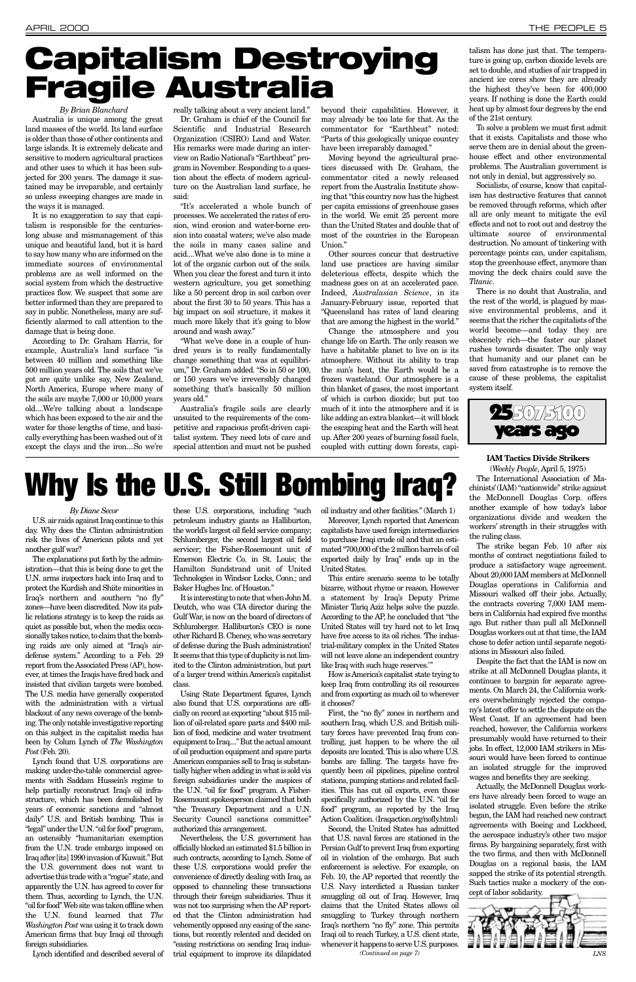### APRIL 2000 THE PEOPLE 5

### *By Brian Blanchard*

Australia is unique among the great land masses of the world. Its land surface is older than those of other continents and large islands. It is extremely delicate and sensitive to modern agricultural practices and other uses to which it has been subjected for 200 years. The damage it sustained may be irreparable, and certainly so unless sweeping changes are made in the ways it is managed.

It is no exaggeration to say that capitalism is responsible for the centurieslong abuse and mismanagement of this unique and beautiful land, but it is hard to say how many who are informed on the immediate sources of environmental problems are as well informed on the social system from which the destructive practices flow. We suspect that some are better informed than they are prepared to say in public. Nonetheless, many are sufficiently alarmed to call attention to the damage that is being done.

According to Dr. Graham Harris, for example, Australia's land surface "is between 40 million and something like 500 million years old. The soils that we've got are quite unlike say, New Zealand, North America, Europe where many of the soils are maybe 7,000 or 10,000 years old....We're talking about a landscape which has been exposed to the air and the water for those lengths of time, and basically everything has been washed out of it except the clays and the iron....So we're

really talking about a very ancient land."

Dr. Graham is chief of the Council for Scientific and Industrial Research Organization (CSIRO) Land and Water. His remarks were made during an interview on Radio National's "Earthbeat" program in November. Responding to a question about the effects of modern agriculture on the Australian land surface, he said:

"It's accelerated a whole bunch of processes. We accelerated the rates of erosion, wind erosion and water-borne erosion into coastal waters; we've also made the soils in many cases saline and acid....What we've also done is to mine a lot of the organic carbon out of the soils. When you clear the forest and turn it into western agriculture, you get something like a 50 percent drop in soil carbon over about the first 30 to 50 years. This has a big impact on soil structure, it makes it much more likely that it's going to blow around and wash away."

"What we've done in a couple of hundred years is to really fundamentally change something that was at equilibrium," Dr. Graham added. "So in 50 or 100, or 150 years we've irreversibly changed something that's basically 50 million years old."

Australia's fragile soils are clearly unsuited to the requirements of the competitive and rapacious profit-driven capitalist system. They need lots of care and special attention and must not be pushed

beyond their capabilities. However, it may already be too late for that. As the commentator for "Earthbeat" noted: "Parts of this geologically unique country have been irreparably damaged."

Moving beyond the agricultural practices discussed with Dr. Graham, the commentator cited a newly released report from the Australia Institute showing that "this country now has the highest per capita emissions of greenhouse gases in the world. We emit 25 percent more than the United States and double that of most of the countries in the European Union."

Other sources concur that destructive land use practices are having similar deleterious effects, despite which the madness goes on at an accelerated pace. Indeed, *Australasian Science*, in its January-February issue, reported that "Queensland has rates of land clearing that are among the highest in the world."

Change the atmosphere and you change life on Earth. The only reason we have a habitable planet to live on is its atmosphere. Without its ability to trap the sun's heat, the Earth would be a frozen wasteland. Our atmosphere is a thin blanket of gases, the most important of which is carbon dioxide; but put too much of it into the atmosphere and it is like adding an extra blanket—it will block the escaping heat and the Earth will heat up. After 200 years of burning fossil fuels, coupled with cutting down forests, capitalism has done just that. The temperature is going up, carbon dioxide levels are set to double, and studies of air trapped in ancient ice cores show they are already the highest they've been for 400,000 years. If nothing is done the Earth could heat up by almost four degrees by the end of the 21st century.

To solve a problem we must first admit that it exists. Capitalists and those who serve them are in denial about the greenhouse effect and other environmental problems. The Australian government is not only in denial, but aggressively so.

Socialists, of course, know that capitalism has destructive features that cannot be removed through reforms, which after all are only meant to mitigate the evil effects and not to root out and destroy the ultimate source of environmental destruction. No amount of tinkering with percentage points can, under capitalism, stop the greenhouse effect, anymore than moving the deck chairs could save the *Titanic*.

There is no doubt that Australia, and the rest of the world, is plagued by massive environmental problems, and it seems that the richer the capitalists of the world become—and today they are obscenely rich—the faster our planet rushes towards disaster. The only way that humanity and our planet can be saved from catastrophe is to remove the cause of these problems, the capitalist system itself.

## **IAM Tactics Divide Strikers**

(*Weekly People*, April 5, 1975)

The International Association of Machinists'(IAM) "nationwide" strike against the McDonnell Douglas Corp. offers another example of how today's labor organizations divide and weaken the workers' strength in their struggles with the ruling class.

The strike began Feb. 10 after six months of contract negotiations failed to produce a satisfactory wage agreement. About 20,000 IAM members at McDonnell Douglas operations in California and Missouri walked off their jobs. Actually, the contracts covering 7,000 IAM members in California had expired five months ago. But rather than pull all McDonnell Douglas workers out at that time, the IAM chose to defer action until separate negotiations in Missouri also failed.

Despite the fact that the IAM is now on strike at all McDonnell Douglas plants, it continues to bargain for separate agreements. On March 24, the California workers overwhelmingly rejected the company's latest offer to settle the dispute on the West Coast. If an agreement had been reached, however, the California workers presumably would have returned to their jobs. In effect, 12,000 IAM strikers in Missouri would have been forced to continue an isolated struggle for the improved wages and benefits they are seeking. Actually, the McDonnell Douglas workers have already been forced to wage an isolated struggle. Even before the strike began, the IAM had reached new contract agreements with Boeing and Lockheed, the aerospace industry's other two major firms. By bargaining separately, first with the two firms, and then with McDonnell Douglas on a regional basis, the IAM sapped the strike of its potential strength. Such tactics make a mockery of the concept of labor solidarity.

# **Capitalism Destroying Fragile Australia**

### *By Diane Secor*

U.S. air raids against Iraq continue to this day. Why does the Clinton administration risk the lives of American pilots and yet another gulf war?

The explanations put forth by the administration—that this is being done to get the U.N. arms inspectors back into Iraq and to protect the Kurdish and Shiite minorities in Iraq's northern and southern "no fly" zones—have been discredited. Now its public relations strategy is to keep the raids as quiet as possible but, when the media occasionally takes notice, to claim that the bombing raids are only aimed at "Iraq's airdefense system." According to a Feb. 29 report from the Associated Press (AP), however, at times the Iraqis have fired back and insisted that civilian targets were bombed. The U.S. media have generally cooperated with the administration with a virtual blackout of any news coverage of the bombing. The only notable investigative reporting on this subject in the capitalist media has been by Colum Lynch of *The Washington Post* (Feb. 20). Lynch found that U.S. corporations are making under-the-table commercial agreements with Saddam Hussein's regime to help partially reconstruct Iraq's oil infrastructure, which has been demolished by years of economic sanctions and "almost daily" U.S. and British bombing. This is "legal" under the U.N. "oil for food" program, an ostensibly "humanitarian exemption from the U.N. trade embargo imposed on Iraq after [its] 1990 invasion of Kuwait."But the U.S. government does not want to advertise this trade with a "rogue" state, and apparently the U.N. has agreed to cover for them. Thus, according to Lynch, the U.N. "oil for food" Web site was taken offline when the U.N. found learned that *The Washington Post* was using it to track down American firms that buy Iraqi oil through foreign subsidiaries.

Lynch identified and described several of



these U.S. corporations, including "such petroleum industry giants as Halliburton, the world's largest oil field service company; Schlumberger, the second largest oil field servicer; the Fisher-Rosemount unit of Emerson Electric Co. in St. Louis; the Hamilton Sundstrand unit of United Technologies in Windsor Locks, Conn.; and Baker Hughes Inc. of Houston."

It is interesting to note that when John M. Deutch, who was CIA director during the Gulf War, is now on the board of directors of Schlumberger. Halliburton's CEO is none other Richard B. Cheney, who was secretary of defense during the Bush administration! It seems that this type of duplicity is not limited to the Clinton administration, but part of a larger trend within America's capitalist class.

Using State Department figures, Lynch also found that U.S. corporations are officially on record as exporting "about \$15 million of oil-related spare parts and \$400 million of food, medicine and water treatment equipment to Iraq...." But the actual amount of oil production equipment and spare parts American companies sell to Iraq is substantially higher when adding in what is sold via foreign subsidiaries under the auspices of the U.N. "oil for food" program. A Fisher-Rosemount spokesperson claimed that both "the Treasury Department and a U.N. Security Council sanctions committee" authorized this arrangement. Nevertheless, the U.S. government has officially blocked an estimated \$1.5 billion in such contracts, according to Lynch. Some of these U.S. corporations would prefer the convenience of directly dealing with Iraq, as opposed to channeling these transactions through their foreign subsidiaries. Thus it was not too surprising when the AP reported that the Clinton administration had vehemently opposed any easing of the sanctions, but recently relented and decided on "easing restrictions on sending Iraq industrial equipment to improve its dilapidated

oil industry and other facilities." (March 1)

Moreover, Lynch reported that American capitalists have used foreign intermediaries to purchase Iraqi crude oil and that an estimated "700,000 of the 2 million barrels of oil exported daily by Iraq" ends up in the United States.

This entire scenario seems to be totally bizarre, without rhyme or reason. However a statement by Iraq's Deputy Prime Minister Tariq Aziz helps solve the puzzle. According to the AP, he concluded that "the United States will try hard not to let Iraq have free access to its oil riches. The industrial-military complex in the United States will not leave alone an independent country like Iraq with such huge reserves.'"

How is America's capitalist state trying to keep Iraq from controlling its oil resources and from exporting as much oil to wherever it chooses?

First, the "no fly" zones in northern and southern Iraq, which U.S. and British military forces have prevented Iraq from controlling, just happen to be where the oil deposits are located. This is also where U.S. bombs are falling. The targets have frequently been oil pipelines, pipeline control stations, pumping stations and related facilities. This has cut oil exports, even those specifically authorized by the U.N. "oil for food" program, as reported by the Iraq Action Coalition. (Iraqaction.org/nofly.html) Second, the United States has admitted that U.S. naval forces are stationed in the Persian Gulf to prevent Iraq from exporting oil in violation of the embargo. But such enforcement is selective. For example, on Feb. 10, the AP reported that recently the U.S. Navy interdicted a Russian tanker smuggling oil out of Iraq. However, Iraq claims that the United States allows oil smuggling to Turkey through northern Iraq's northern "no fly" zone. This permits Iraqi oil to reach Turkey, a U.S. client state, whenever it happens to serve U.S. purposes. *(Continued on page 7)*

# **Why Is the U.S. Still Bombing Iraq?**

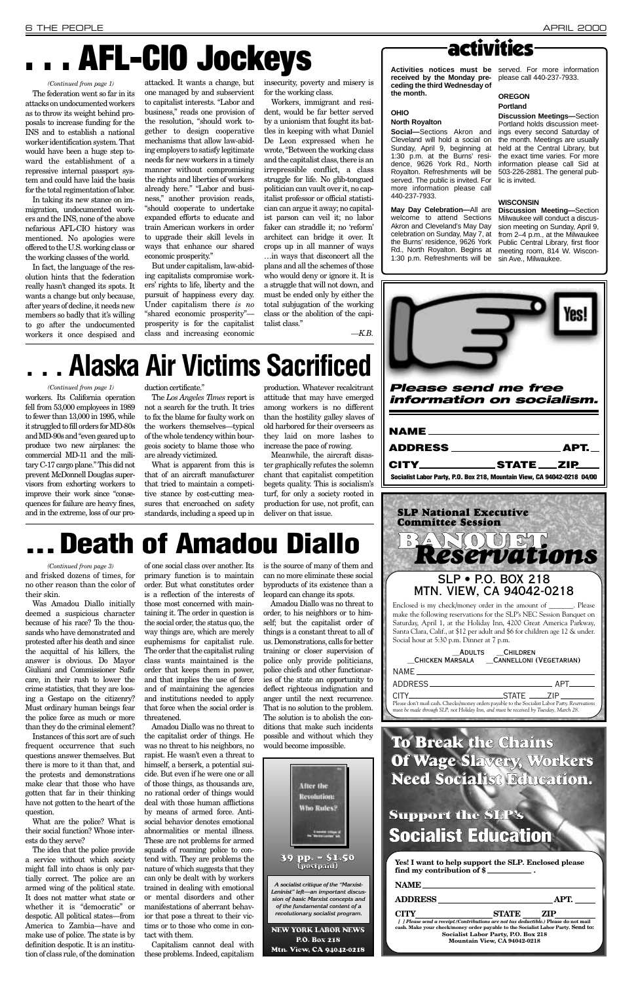*Please send me free information on socialism.*

| NAME <sub>2</sub> and the set of the set of the set of the set of the set of the set of the set of the set of the set of the set of the set of the set of the set of the set of the set of the set of the set of the set of the set of t |      |
|------------------------------------------------------------------------------------------------------------------------------------------------------------------------------------------------------------------------------------------|------|
|                                                                                                                                                                                                                                          | АРТ. |
| CITY STATE ZIP                                                                                                                                                                                                                           |      |
| Socialist Labor Party, P.O. Box 218, Mountain View, CA 94042-0218 04/00                                                                                                                                                                  |      |

Was Amadou Diallo initially deemed a suspicious character because of his race? To the thousands who have demonstrated and protested after his death and since the acquittal of his killers, the answer is obvious. Do Mayor Giuliani and Commissioner Safir care, in their rush to lower the crime statistics, that they are loosing a Gestapo on the citizenry? Must ordinary human beings fear the police force as much or more

than they do the criminal element?

Instances of this sort are of such frequent occurrence that such questions answer themselves. But there is more to it than that, and the protests and demonstrations make clear that those who have gotten that far in their thinking have not gotten to the heart of the question.

What are the police? What is their social function? Whose interests do they serve?

The idea that the police provide a service without which society might fall into chaos is only partially correct. The police are an armed wing of the political state. It does not matter what state or whether it is "democratic" or despotic. All political states—from America to Zambia—have and make use of police. The state is by definition despotic. It is an institution of class rule, of the domination

of one social class over another. Its primary function is to maintain order. But what constitutes order is a reflection of the interests of those most concerned with maintaining it. The order in question is the social order, the status quo, the way things are, which are merely euphemisms for capitalist rule. The order that the capitalist ruling class wants maintained is the order that keeps them in power, and that implies the use of force and of maintaining the agencies and institutions needed to apply that force when the social order is threatened. Amadou Diallo was no threat to the capitalist order of things. He was no threat to his neighbors, no rapist. He wasn't even a threat to himself, a berserk, a potential suicide. But even if he were one or all of those things, as thousands are, no rational order of things would deal with those human afflictions by means of armed force. Antisocial behavior denotes emotional abnormalities or mental illness. These are not problems for armed squads of roaming police to contend with. They are problems the nature of which suggests that they can only be dealt with by workers trained in dealing with emotional or mental disorders and other

and frisked dozens of times, for no other reason than the color of their skin. *(Continued from page 3)*

> manifestations of aberrant behavior that pose a threat to their victims or to those who come in con-

tact with them.

Capitalism cannot deal with these problems. Indeed, capitalism is the source of many of them and can no more eliminate these social byproducts of its existence than a leopard can change its spots.

Amadou Diallo was no threat to order, to his neighbors or to himself; but the capitalist order of things is a constant threat to all of us. Demonstrations, calls for better training or closer supervision of police only provide politicians, police chiefs and other functionaries of the state an opportunity to deflect righteous indignation and anger until the next recurrence. That is no solution to the problem. The solution is to abolish the con-

ditions that make such incidents possible and without which they would become impossible.

workers. Its California operation fell from 53,000 employees in 1989 to fewer than 13,000 in 1995, while it struggled to fill orders for MD-80s and MD-90s and "even geared up to produce two new airplanes: the commercial MD-11 and the military C-17 cargo plane." This did not prevent McDonnell Douglas supervisors from exhorting workers to improve their work since "consequences for failure are heavy fines, and in the extreme, loss of our pro-

duction certificate."

The *Los Angeles Times* report is not a search for the truth. It tries to fix the blame for faulty work on the workers themselves—typical of the whole tendency within bourgeois society to blame those who are already victimized.

What is apparent from this is that of an aircraft manufacturer that tried to maintain a competitive stance by cost-cutting measures that encroached on safety standards, including a speed up in production. Whatever recalcitrant attitude that may have emerged among workers is no different than the hostility galley slaves of old harbored for their overseers as they laid on more lashes to increase the pace of rowing.

Meanwhile, the aircraft disaster graphically refutes the solemn chant that capitalist competition begets quality. This is socialism's turf, for only a society rooted in production for use, not profit, can deliver on that issue.

# **Death of Amadou Diallo**

# **. . . Alaska Air Victims Sacrificed**

### *(Continued from page 1)*

# **. . . AFL-CIO Jockeys**

The federation went so far in its attacks on undocumented workers as to throw its weight behind proposals to increase funding for the INS and to establish a national worker identification system. That would have been a huge step toward the establishment of a repressive internal passport system and could have laid the basis for the total regimentation of labor.

In taking its new stance on immigration, undocumented workers and the INS, none of the above nefarious AFL-CIO history was mentioned. No apologies were offered to the U.S. working class or the working classes of the world.

In fact, the language of the resolution hints that the federation really hasn't changed its spots. It wants a change but only because, after years of decline, it needs new members so badly that it's willing to go after the undocumented workers it once despised and

attacked. It wants a change, but one managed by and subservient to capitalist interests. "Labor and business," reads one provision of the resolution, "should work together to design cooperative mechanisms that allow law-abiding employers to satisfy legitimate needs for new workers in a timely manner without compromising the rights and liberties of workers already here." "Labor and business," another provision reads, "should cooperate to undertake expanded efforts to educate and train American workers in order to upgrade their skill levels in ways that enhance our shared economic prosperity."

But under capitalism, law-abiding capitalists compromise workers' rights to life, liberty and the pursuit of happiness every day. Under capitalism there *is no* "shared economic prosperity" prosperity is for the capitalist class and increasing economic insecurity, poverty and misery is for the working class.

Workers, immigrant and resident, would be far better served by a unionism that fought its battles in keeping with what Daniel De Leon expressed when he wrote, "Between the working class and the capitalist class, there is an irrepressible conflict, a class struggle for life. No glib-tongued politician can vault over it, no capitalist professor or official statistician can argue it away; no capitalist parson can veil it; no labor faker can straddle it; no 'reform' architect can bridge it over. It crops up in all manner of ways …in ways that disconcert all the plans and all the schemes of those who would deny or ignore it. It is a struggle that will not down, and must be ended only by either the total subjugation of the working class or the abolition of the capitalist class."

*—K.B.*

## activities

**received by the Monday preceding the third Wednesday of the month.**

## **OHIO**

### **North Royalton**

**Social—**Sections Akron and Cleveland will hold a social on Sunday, April 9, beginning at 1:30 p.m. at the Burns' residence, 9626 York Rd., North Royalton. Refreshments will be served. The public is invited. For more information please call 440-237-7933.

**Activities notices must be** served. For more information please call 440-237-7933.

**May Day Celebration—**All are welcome to attend Sections Akron and Cleveland's May Day celebration on Sunday, May 7, at the Burns' residence, 9626 York Rd., North Royalton. Begins at 1:30 p.m. Refreshments will be

## **OREGON Portland**

**Discussion Meetings—**Section Portland holds discussion meetings every second Saturday of the month. Meetings are usually held at the Central Library, but the exact time varies. For more information please call Sid at 503-226-2881. The general public is invited.

## **WISCONSIN**

**Discussion Meeting—**Section Milwaukee will conduct a discussion meeting on Sunday, April 9, from 2–4 p.m., at the Milwaukee Public Central Library, first floor meeting room, 814 W. Wisconsin Ave., Milwaukee.



### *(Continued from page 1)*

## **To Break the Chains Of Wage Slavery, Workers Need Socialist Education. Support the SLP's Socialist Education Yes! I want to help support the SLP***.* **Enclosed please find my contribution of \$ . NAME ADDRESS APT. CITY STATE ZIP** *[ ] Please send a receipt.(Contributions are not tax deductible.)* **Please do not mail cash. Make your check/money order payable to the Socialist Labor Party***.* **Send to: Socialist Labor Party, P.O. Box 218 Mountain View, CA 94042-0218**



*must be made through SLP, not Holiday Inn, and must be received by Tuesday, March 28.*

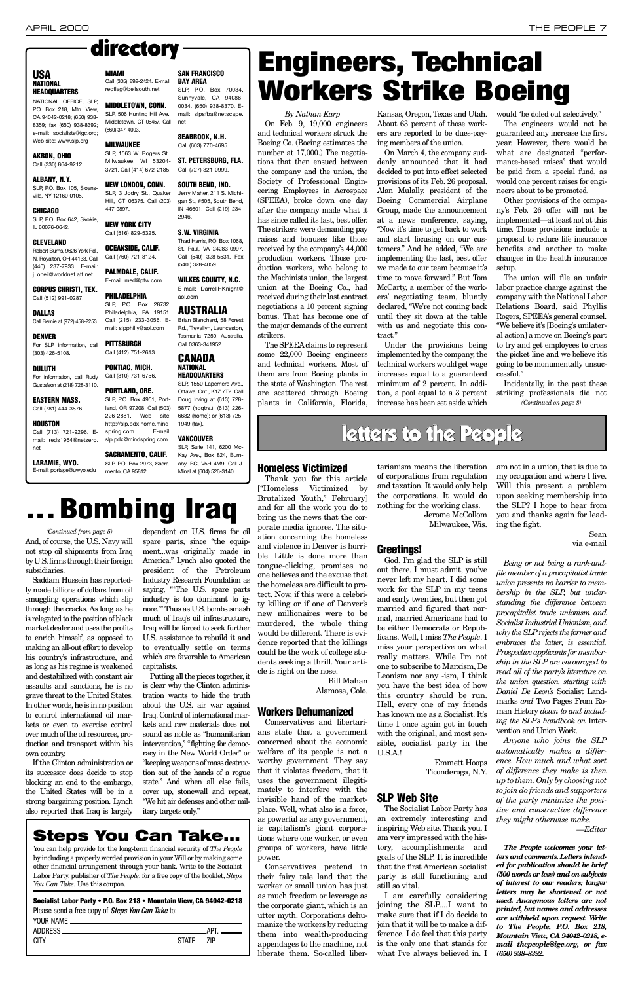## **Steps You Can Take...**

You can help provide for the long-term financial security of *The People* by including a properly worded provision in your Will or by making some other financial arrangement through your bank. Write to the Socialist Labor Party, publisher of *The People*, for a free copy of the booklet, *Steps You Can Take*. Use this coupon.

## **Socialist Labor Party • P.O. Box 218 • Mountain View, CA 94042-0218**

Please send a free copy of *Steps You Can Take* to:

| YOUR NAME |               |
|-----------|---------------|
|           | ДРТ <u>— </u> |
|           | $STATF = ZIP$ |
|           |               |
|           |               |

## **Homeless Victimized**

Thank you for this article ["Homeless Victimized by Brutalized Youth," February] and for all the work you do to bring us the news that the corporate media ignores. The situation concerning the homeless and violence in Denver is horrible. Little is done more than tongue-clicking, promises no one believes and the excuse that the homeless are difficult to protect. Now, if this were a celebrity killing or if one of Denver's new millionaires were to be murdered, the whole thing would be different. There is evidence reported that the killings could be the work of college students seeking a thrill. Your article is right on the nose.

> Bill Mahan Alamosa, Colo.

## **Workers Dehumanized**

Conservatives and libertarians state that a government concerned about the economic welfare of its people is not a worthy government. They say that it violates freedom, that it uses the government illegitimately to interfere with the invisible hand of the marketplace. Well, what also is a force, as powerful as any government, is capitalism's giant corporations where one worker, or even groups of workers, have little power.

Conservatives pretend in their fairy tale land that the worker or small union has just as much freedom or leverage as the corporate giant, which is an utter myth. Corporations dehumanize the workers by reducing them into wealth-producing appendages to the machine, not liberate them. So-called libertarianism means the liberation of corporations from regulation and taxation. It would only help the corporations. It would do nothing for the working class.

> Jerome McCollom Milwaukee, Wis.

## **Greetings!**

God, I'm glad the SLP is still out there. I must admit, you've never left my heart. I did some work for the SLP in my teens and early twenties, but then got married and figured that normal, married Americans had to be either Democrats or Republicans. Well, I miss *The People*. I miss your perspective on what really matters. While I'm not one to subscribe to Marxism, De Leonism nor any -ism, I think you have the best idea of how this country should be run. Hell, every one of my friends has known me as a Socialist. It's

time I once again got in touch with the original, and most sensible, socialist party in the U.S.A.!

## Emmett Hoops Ticonderoga, N.Y.

## **SLP Web Site**

The Socialist Labor Party has an extremely interesting and inspiring Web site. Thank you. I am very impressed with the history, accomplishments and goals of the SLP. It is incredible that the first American socialist party is still functioning and still so vital.

I am carefully considering joining the SLP....I want to make sure that if I do decide to join that it will be to make a difference. I do feel that this party is the only one that stands for what I've always believed in. I

am not in a union, that is due to my occupation and where I live. Will this present a problem upon seeking membership into the SLP? I hope to hear from you and thanks again for leading the fight.

> Sean via e-mail

*Being or not being a rank-andfile member of a procapitalist trade union presents no barrier to membership in the SLP, but understanding the difference between procapitalist trade unionism and Socialist Industrial Unionism, and why the SLPrejects the former and embraces the latter, is essential. Prospective applicants for membership in the SLP are encouraged to read all of the party's literature on the union question, starting with Daniel De Leon's* Socialist Landmarks *and* Two Pages From Roman History *down to and including the SLP's handbook on Inter*vention and Union Work. *Anyone who joins the SLP automatically makes a difference. How much and what sort of difference they make is then up to them. Only by choosing not to join do friends and supporters of the party minimize the positive and constructive difference they might otherwise make.*

*—Editor*

*The People welcomes your letters and comments. Letters intended for publication should be brief (500 words or less) and on subjects of interest to our readers; longer letters may be shortened or not used. Anonymous letters are not printed, but names and addresses are withheld upon request. Write to The People, P.O. Box 218, Mountain View, CA 94042–0218, email thepeople@igc.org, or fax (650) 938–8392.*

## letters to the People

## **USA NATIONAL HEADQUARTERS**

NATIONAL OFFICE, SLP, P.O. Box 218, Mtn. View, CA 94042-0218; (650) 938- 8359; fax (650) 938-8392; e-mail: socialists@igc.org: Web site: www.slp.org

### **AKRON, OHIO** Call (330) 864-9212.

**ALBANY, N.Y.** SLP, P.O. Box 105, Sloansville, NY 12160-0105.

### **CLEVELAND**

Robert Burns, 9626 York Rd., N. Royalton, OH 44133. Call (440) 237-7933. E-mail: j..oneil@worldnet.att.net

**CORPUS CHRISTI, TEX.** Call (512) 991-0287.

## **DALLAS**

Call Bernie at (972) 458-2253.

### **DULUTH** For information, call Rudy Gustafson at (218) 728-3110.

**EASTERN MASS.**

Call (781) 444-3576.

**CHICAGO** SLP, P.O. Box 642, Skokie, IL 60076-0642. 447-9897. **NEW YORK CITY** Call (516) 829-5325.

**HOUSTON** Call (713) 721-9296. Email: reds1964@netzero.

net **LARAMIE, WYO.**

E-mail: portage@uwyo.edu

**MIAMI**

(860) 347-4003. **MILWAUKEE**

**DENVER** For SLP information, call (303) 426-5108. **PITTSBURGH** Call (412) 751-2613.

**OCEANSIDE, CALIF.** Call (760) 721-8124. **PALMDALE, CALIF.** E-mail: med@ptw.com

Call (305) 892-2424. E-mail: redflag@bellsouth.net **SAN FRANCISCO BAY AREA** SLP, P.O. Box 70034,

**PHILADELPHIA** SLP, P.O. Box 28732, Philadelphia, PA 19151. Call (215) 233-3056. Email: slpphilly@aol.com

**MIDDLETOWN, CONN.** SLP, 506 Hunting Hill Ave., Middletown, CT 06457. Call Sunnyvale, CA 94086- 0034. (650) 938-8370. Email: slpsfba@netscape. net

## **PONTIAC, MICH.** Call (810) 731-6756.

SLP, 1563 W. Rogers St., Milwaukee, WI 53204- 3721. Call (414) 672-2185. **ST. PETERSBURG, FLA.** Call (727) 321-0999.

**PORTLAND, ORE.**

**NEW LONDON, CONN.** SLP, 3 Jodry St., Quaker Hill, CT 06375. Call (203) **SOUTH BEND, IND.** Jerry Maher, 211 S. Michigan St., #505, South Bend, IN 46601. Call (219) 234- 2946.

slp.pdx@mindspring.com

mento, CA 95812.

### **SEABROOK, N.H.** Call (603) 770-4695.

SLP, P.O. Box 4951, Portland, OR 97208. Call (503) 226-2881. Web site: http://slp.pdx.home.mindspring.com E-mail: SLP, 1550 Laperriere Ave., Ottawa, Ont., K1Z 7T2. Call Doug Irving at (613) 728- 5877 (hdqtrs.); (613) 226- 6682 (home); or (613) 725- 1949 (fax).

## **S.W. VIRGINIA**

Thad Harris, P.O. Box 1068, St. Paul, VA 24283-0997. Call (540) 328-5531. Fax (540 ) 328-4059.

**SACRAMENTO, CALIF.** SLP, P.O. Box 2973, Sacra-SLP, Suite 141, 6200 Mc-Kay Ave., Box 824, Burnaby, BC, V5H 4M9. Call J. Minal at (604) 526-3140.

**WILKES COUNTY, N.C.** E-mail: DarrellHKnight@ aol.com

## **AUSTRALIA** Brian Blanchard, 58 Forest

Rd., Trevallyn, Launceston, Tasmania 7250, Australia. Call 0363-341952. **CANADA**

**NATIONAL HEADQUARTERS**

## **VANCOUVER**

## directory

## *By Nathan Karp*

On Feb. 9, 19,000 engineers and technical workers struck the Boeing Co. (Boeing estimates the number at 17,000.) The negotiations that then ensued between the company and the union, the Society of Professional Engineering Employees in Aerospace (SPEEA), broke down one day after the company made what it has since called its last, best offer. The strikers were demanding pay raises and bonuses like those received by the company's 44,000 production workers. Those production workers, who belong to the Machinists union, the largest union at the Boeing Co., had received during their last contract negotiations a 10 percent signing bonus. That has become one of the major demands of the current strikers.

The SPEEAclaims to represent some 22,000 Boeing engineers and technical workers. Most of them are from Boeing plants in the state of Washington. The rest are scattered through Boeing plants in California, Florida, Kansas, Oregon, Texas and Utah. About 63 percent of those workers are reported to be dues-paying members of the union.

On March 4, the company suddenly announced that it had decided to put into effect selected provisions of its Feb. 26 proposal. Alan Mulally, president of the Boeing Commercial Airplane Group, made the announcement at a news conference, saying, "Now it's time to get back to work and start focusing on our customers." And he added, "We are implementing the last, best offer we made to our team because it's time to move forward." But Tom McCarty, a member of the workers' negotiating team, bluntly declared, "We're not coming back until they sit down at the table with us and negotiate this contract."

Under the provisions being implemented by the company, the technical workers would get wage increases equal to a guaranteed minimum of 2 percent. In addition, a pool equal to a 3 percent increase has been set aside which

would "be doled out selectively."

The engineers would not be guaranteed any increase the first year. However, there would be what are designated "performance-based raises" that would be paid from a special fund, as would one percent raises for engineers about to be promoted.

Other provisions of the company's Feb. 26 offer will not be implemented—at least not at this time. Those provisions include a proposal to reduce life insurance benefits and another to make changes in the health insurance setup.

The union will file an unfair labor practice charge against the company with the National Labor Relations Board, said Phyllis Rogers, SPEEA's general counsel. "We believe it's [Boeing's unilateral action] a move on Boeing's part to try and get employees to cross the picket line and we believe it's going to be monumentally unsuccessful."

Incidentally, in the past these striking professionals did not *(Continued on page 8)*

## **Engineers, Technical Workers Strike Boeing**

Saddam Hussein has reportedly made billions of dollars from oil smuggling operations which slip through the cracks. As long as he is relegated to the position of black market dealer and uses the profits to enrich himself, as opposed to making an all-out effort to develop his country's infrastructure, and as long as his regime is weakened and destabilized with constant air assaults and sanctions, he is no grave threat to the United States. In other words, he is in no position to control international oil markets or even to exercise control over much of the oil resources, production and transport within his own country. If the Clinton administration or its successor does decide to stop blocking an end to the embargo, the United States will be in a strong bargaining position. Lynch also reported that Iraq is largely

And, of course, the U.S. Navy will not stop oil shipments from Iraq by U.S. firms through their foreign subsidiaries. *(Continued from page 5)*

dependent on U.S. firms for oil spare parts, since "the equipment...was originally made in America." Lynch also quoted the president of the Petroleum Industry Research Foundation as saying, "'The U.S. spare parts industry is too dominant to ignore.'" Thus as U.S. bombs smash much of Iraq's oil infrastructure, Iraq will be forced to seek further U.S. assistance to rebuild it and to eventually settle on terms which are favorable to American capitalists.

Putting all the pieces together, it is clear why the Clinton administration wants to hide the truth about the U.S. air war against Iraq. Control of international markets and raw materials does not sound as noble as "humanitarian intervention," "fighting for democracy in the New World Order" or "keeping weapons of mass destruction out of the hands of a rogue state." And when all else fails, cover up, stonewall and repeat, "We hit air defenses and other military targets only."

# **. . . Bombing Iraq**